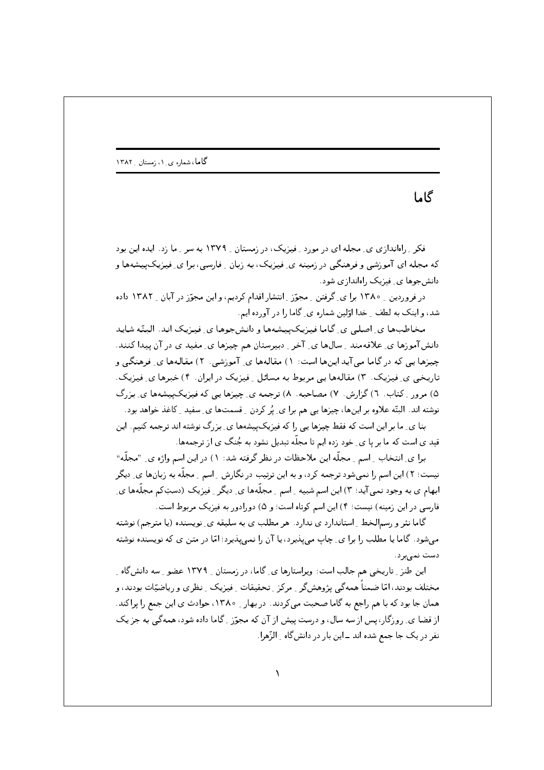گاها

فکر \_ راهاندازی ی\_ مجله ای در مورد \_ فیزیک، در زمستان \_ ۱۳۷۹ به سر \_ ما زد. ایده این بود که مجله ای آموزشی و فرهنگی در زمینه ی ِ فیزیک، به زبان ِ فارسی، برا ی ِ فیزیکپیشهها و دانش جوها ی فیزیک راهاندازی شود.

در فروردین ۱۳۸۰ برای گرفتن ـ مجوّز ـ انتشار اقدام کردیم، و این مجوّز در آبان ـ ۱۳۸۲ داده شد، و اینک به لطف ِ خدا اوّلین شماره ی ِ گاما را در آورده ایم.

مخاطبها ی اصلی ی گاما فیزیک پیشهها و دانشجوها ی فیزیک اند. البتّه شاید دانشآموزها ی ِ علاقهمند ِ سالها ی ِ آخر ِ دبیرستان هم چیزها ی ِ مفید ی در آن پیدا کنند. چیزها یی که در گاما می آید اینها است: ۱) مقالهها ی ِ آموزشی. ۲) مقالهها ی ِ فرهنگی و تاریخی ی ِ فیزیک. ۳) مقالهها یی مربوط به مسائل ِ فیزیک در ایران. ۴) خبرها ی ِ فیزیک. ۵) مرور \_ کتاب. ٦) گزارش. ٧) مصاحبه. ٨) ترجمه ي\_ چيزها يي که فيزيک پيشهها ي\_ بزرگ نوشته اند. البتّه علاوه بر اینها، چیزها یی هم برا ی ِ پُر کردن ِ قسمتها ی ِ سفید ِ کاغذ خواهد بود.

بنا ی ِ ما بر این است که فقط چیزها یی را که فیزیک پیشهها ی ِ بزرگ نوشته اند ترجمه کنیم. این قید ی است که ما بر یا ی ِ خود زده ایم تا مجلّه تبدیل نشود به جُنگ ی از ترجمهها.

برا ی ِ انتخاب ِ اِسم ِ مجلَّه این ملاحظات در نظر گرفته شد: ۱) در این اسم واژه ی ِ "مجلَّه" نیست؛ ۲) این اسم را نمیشود ترجمه کرد، و به این ترتیب در نگارش ِ اسم ِ مجلَّه به زبانها ی ِ دیگر ابهام ی به وجود نمی آید؛ ۳) این اسم شبیه <sub>-</sub> اسم <sub>-</sub> مجلَّهها ی ِ دیگر <sub>-</sub> فیزیک (دستِکم مجلَّهها ی ِ فارسی در این زمینه) نیست؛ ۴) این اسم کوتاه است؛ و ۵) دورادور به فیزیک مربوط است.

گاما نثر و رسمالخط ِ استاندارد ی ندارد. هر مطلب ی به سلیقه ی ِ نویسنده (یا مترجم) نوشته می شود. گاما یا مطلب را برا ی ِ چاپ می بِبذیرد، یا آن را نمی بِبذیرد؛ امّا در متین ی که نویسنده نوشته دست نمى برد.

این طنز ِ تاریخی هم جالب است: ویراستارها ی ِ گاما، در زمستان ِ ۱۳۷۹ عضو ِ سه دانشگاه ِ مختلف بودند، امّا ضمناً همه گی پژوهشگر \_ مرکز \_ تحقیقات \_ فیزیک \_ نظری و ریاضیّات بودند، و همان جا بود که با هم راجع به گاما صحبت می کردند. در بهار MX و ۱۳۸۰، حوادث ی این جمع را پراکند. از قضا ی ِ روزگار، پس از سه سال، و درست پیش از آن که مجوّز ِ گاما داده شود، همهگی به جز یک نفر در یک جا جمع شده اند ــ این بار در دانشگاه \_ الزّهرا.